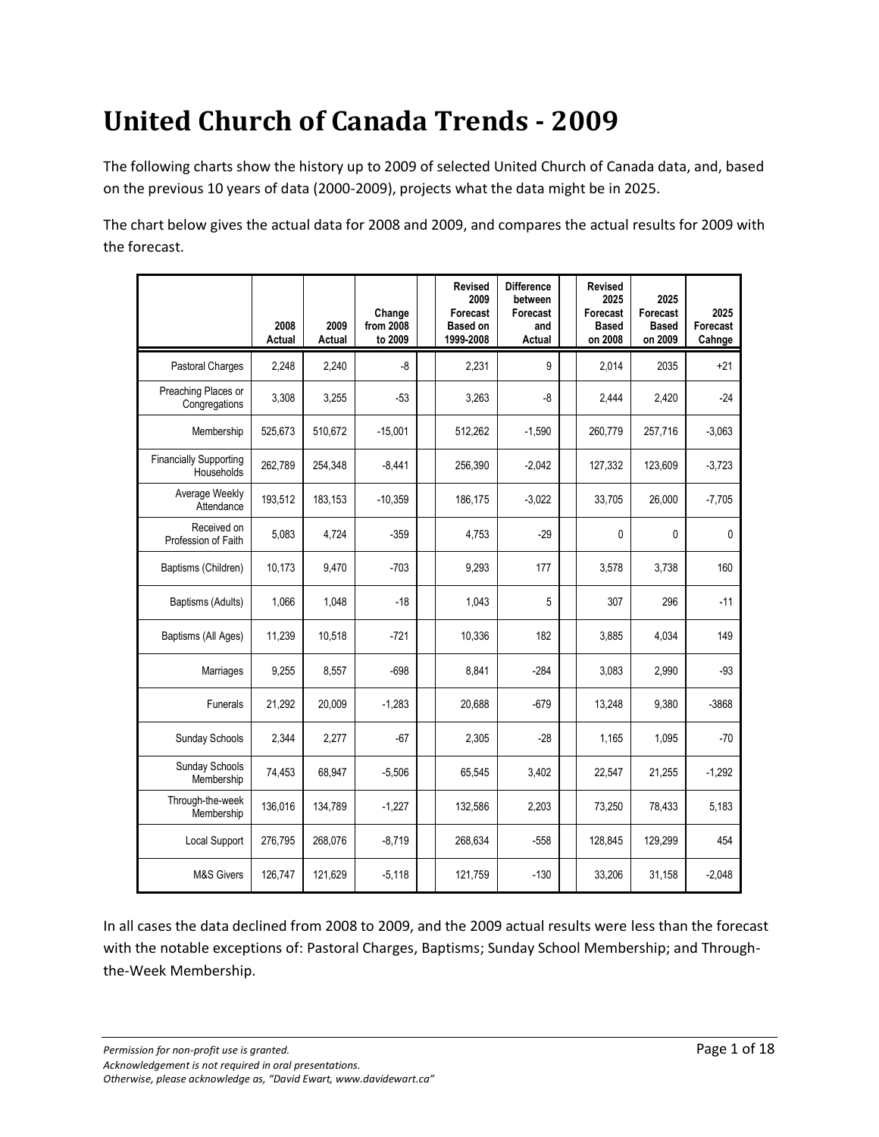# **United Church of Canada Trends - 2009**

The following charts show the history up to 2009 of selected United Church of Canada data, and, based on the previous 10 years of data (2000-2009), projects what the data might be in 2025.

The chart below gives the actual data for 2008 and 2009, and compares the actual results for 2009 with the forecast.

|                                             | 2008<br>Actual | 2009<br>Actual | Change<br>from 2008<br>to 2009 | <b>Revised</b><br>2009<br>Forecast<br><b>Based on</b><br>1999-2008 | <b>Difference</b><br>between<br>Forecast<br>and<br>Actual | <b>Revised</b><br>2025<br>Forecast<br><b>Based</b><br>on 2008 | 2025<br>Forecast<br><b>Based</b><br>on 2009 | 2025<br>Forecast<br>Cahnge |
|---------------------------------------------|----------------|----------------|--------------------------------|--------------------------------------------------------------------|-----------------------------------------------------------|---------------------------------------------------------------|---------------------------------------------|----------------------------|
| Pastoral Charges                            | 2,248          | 2,240          | $-8$                           | 2,231                                                              | 9                                                         | 2,014                                                         | 2035                                        | $+21$                      |
| Preaching Places or<br>Congregations        | 3,308          | 3,255          | $-53$                          | 3,263                                                              | -8                                                        | 2,444                                                         | 2,420                                       | $-24$                      |
| Membership                                  | 525,673        | 510,672        | $-15,001$                      | 512,262                                                            | $-1,590$                                                  | 260,779                                                       | 257,716                                     | $-3,063$                   |
| <b>Financially Supporting</b><br>Households | 262,789        | 254,348        | $-8.441$                       | 256,390                                                            | $-2,042$                                                  | 127,332                                                       | 123,609                                     | $-3,723$                   |
| Average Weekly<br>Attendance                | 193,512        | 183,153        | $-10,359$                      | 186,175                                                            | $-3.022$                                                  | 33,705                                                        | 26,000                                      | $-7,705$                   |
| Received on<br>Profession of Faith          | 5,083          | 4,724          | $-359$                         | 4,753                                                              | $-29$                                                     | $\mathbf 0$                                                   | $\mathbf 0$                                 | 0                          |
| Baptisms (Children)                         | 10,173         | 9,470          | $-703$                         | 9,293                                                              | 177                                                       | 3,578                                                         | 3,738                                       | 160                        |
| Baptisms (Adults)                           | 1,066          | 1,048          | $-18$                          | 1,043                                                              | 5                                                         | 307                                                           | 296                                         | $-11$                      |
| Baptisms (All Ages)                         | 11,239         | 10,518         | $-721$                         | 10,336                                                             | 182                                                       | 3,885                                                         | 4,034                                       | 149                        |
| Marriages                                   | 9,255          | 8,557          | $-698$                         | 8,841                                                              | $-284$                                                    | 3,083                                                         | 2,990                                       | $-93$                      |
| Funerals                                    | 21,292         | 20,009         | $-1,283$                       | 20,688                                                             | $-679$                                                    | 13,248                                                        | 9,380                                       | $-3868$                    |
| Sunday Schools                              | 2,344          | 2,277          | -67                            | 2,305                                                              | $-28$                                                     | 1,165                                                         | 1,095                                       | $-70$                      |
| Sunday Schools<br>Membership                | 74,453         | 68,947         | $-5,506$                       | 65,545                                                             | 3,402                                                     | 22,547                                                        | 21,255                                      | $-1,292$                   |
| Through-the-week<br>Membership              | 136,016        | 134,789        | $-1,227$                       | 132,586                                                            | 2,203                                                     | 73,250                                                        | 78,433                                      | 5,183                      |
| Local Support                               | 276,795        | 268,076        | $-8,719$                       | 268,634                                                            | $-558$                                                    | 128,845                                                       | 129,299                                     | 454                        |
| <b>M&amp;S Givers</b>                       | 126,747        | 121,629        | $-5,118$                       | 121,759                                                            | $-130$                                                    | 33,206                                                        | 31,158                                      | $-2,048$                   |

In all cases the data declined from 2008 to 2009, and the 2009 actual results were less than the forecast with the notable exceptions of: Pastoral Charges, Baptisms; Sunday School Membership; and Throughthe-Week Membership.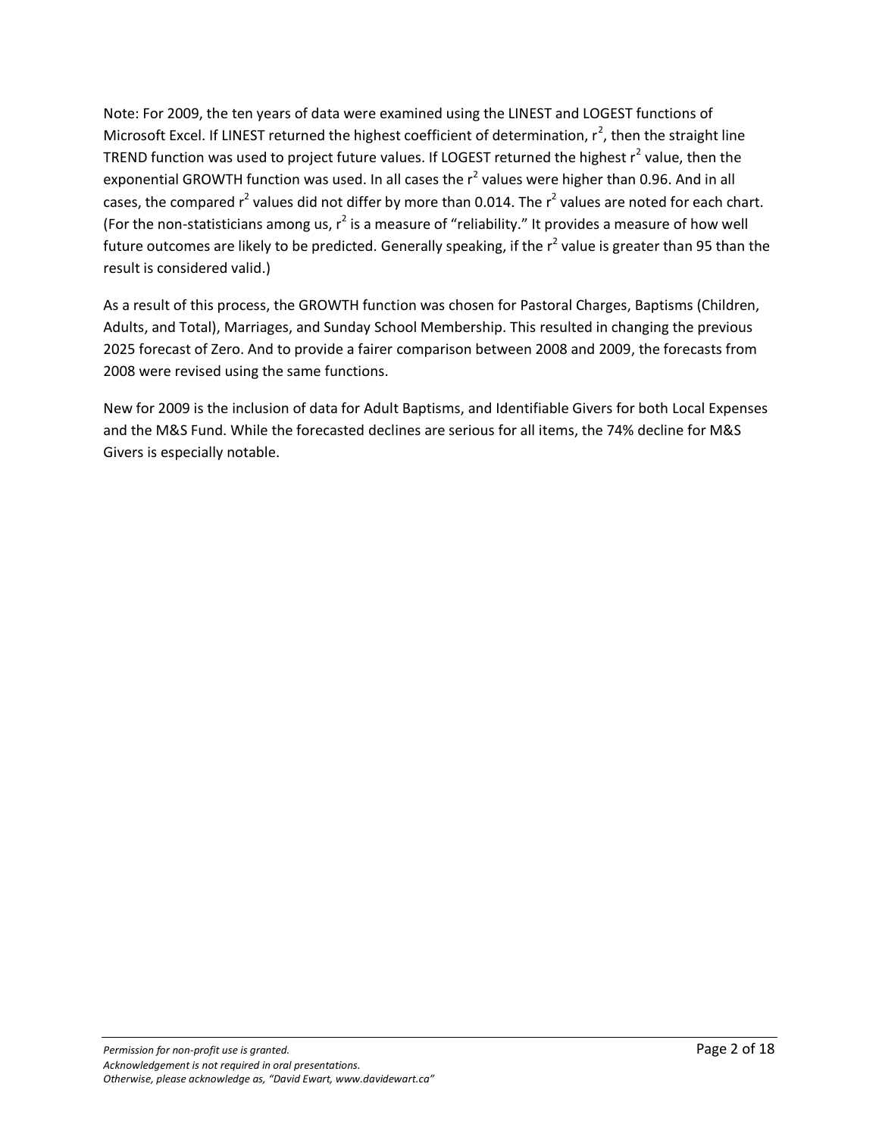Note: For 2009, the ten years of data were examined using the LINEST and LOGEST functions of Microsoft Excel. If LINEST returned the highest coefficient of determination,  $r^2$ , then the straight line TREND function was used to project future values. If LOGEST returned the highest  $r^2$  value, then the exponential GROWTH function was used. In all cases the  $r^2$  values were higher than 0.96. And in all cases, the compared  $r^2$  values did not differ by more than 0.014. The  $r^2$  values are noted for each chart. (For the non-statisticians among us,  $r^2$  is a measure of "reliability." It provides a measure of how well future outcomes are likely to be predicted. Generally speaking, if the  $r^2$  value is greater than 95 than the result is considered valid.)

As a result of this process, the GROWTH function was chosen for Pastoral Charges, Baptisms (Children, Adults, and Total), Marriages, and Sunday School Membership. This resulted in changing the previous 2025 forecast of Zero. And to provide a fairer comparison between 2008 and 2009, the forecasts from 2008 were revised using the same functions.

New for 2009 is the inclusion of data for Adult Baptisms, and Identifiable Givers for both Local Expenses and the M&S Fund. While the forecasted declines are serious for all items, the 74% decline for M&S Givers is especially notable.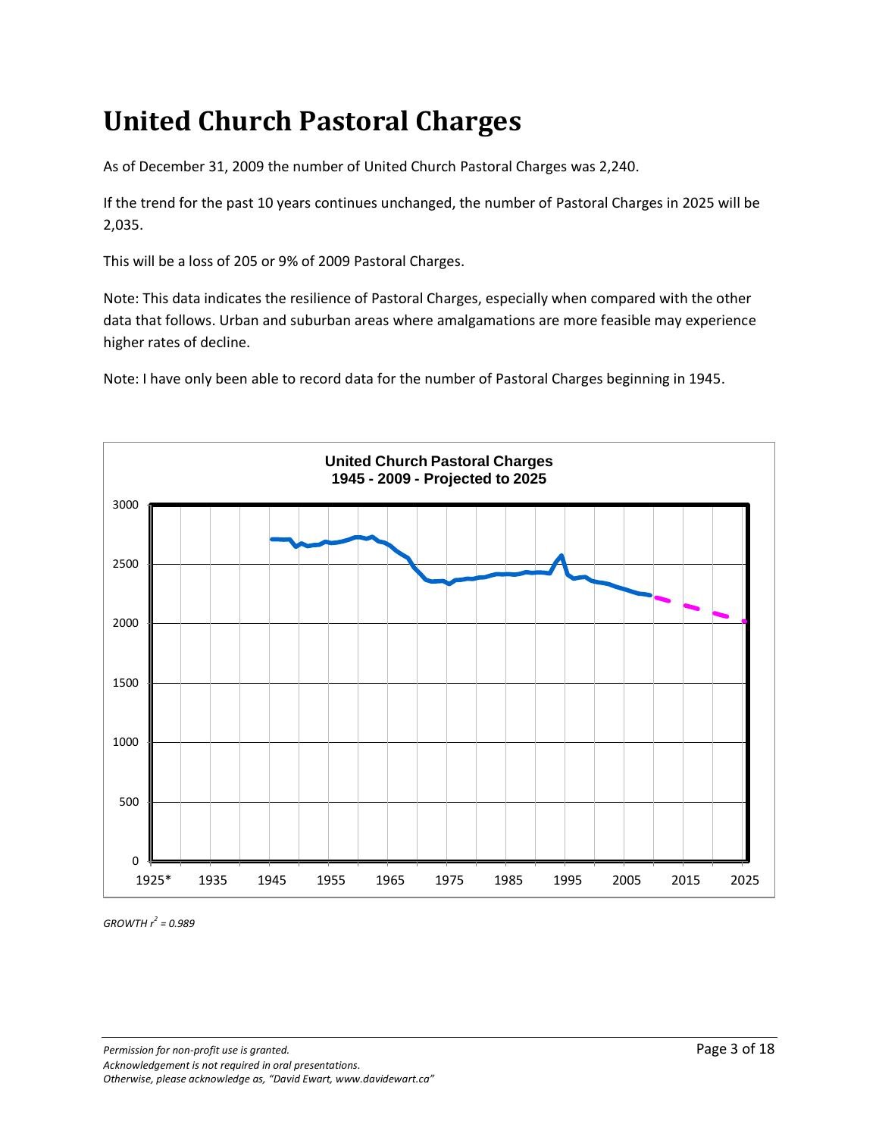#### **United Church Pastoral Charges**

As of December 31, 2009 the number of United Church Pastoral Charges was 2,240.

If the trend for the past 10 years continues unchanged, the number of Pastoral Charges in 2025 will be 2,035.

This will be a loss of 205 or 9% of 2009 Pastoral Charges.

Note: This data indicates the resilience of Pastoral Charges, especially when compared with the other data that follows. Urban and suburban areas where amalgamations are more feasible may experience higher rates of decline.

Note: I have only been able to record data for the number of Pastoral Charges beginning in 1945.

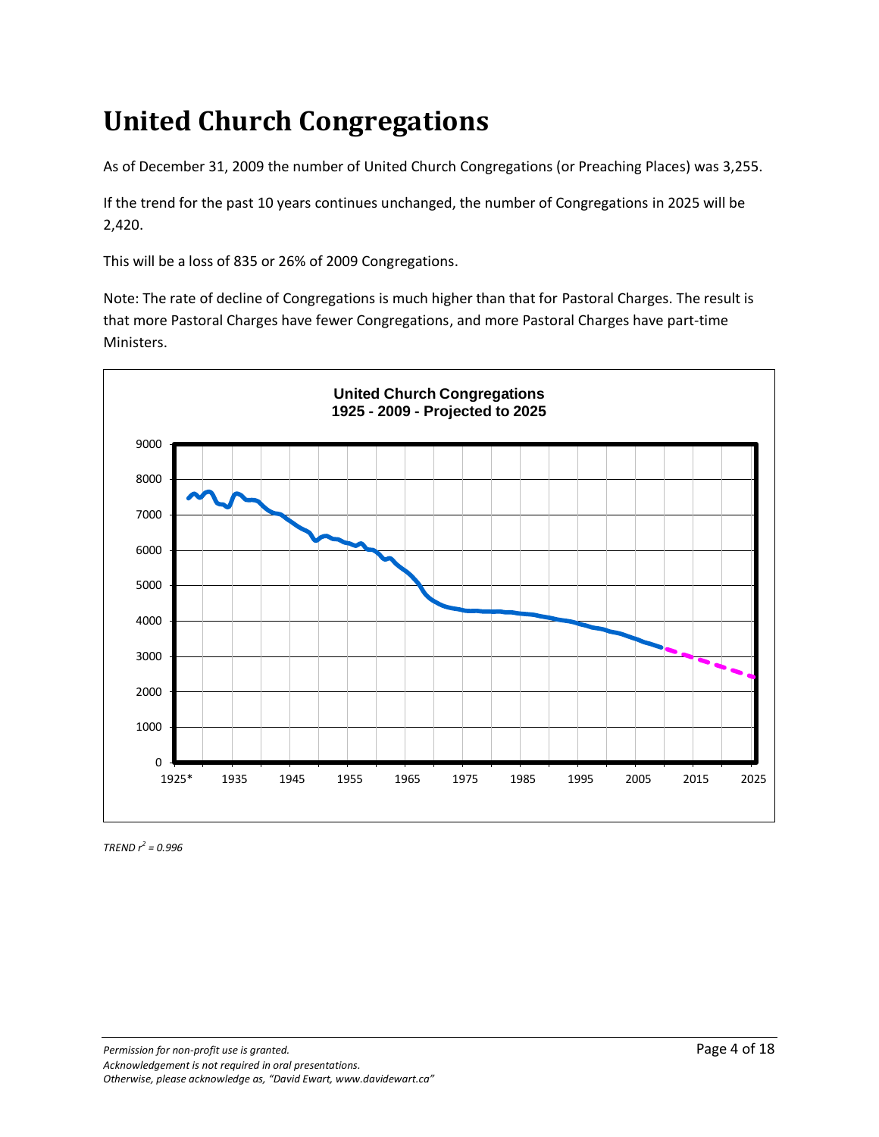# **United Church Congregations**

As of December 31, 2009 the number of United Church Congregations (or Preaching Places) was 3,255.

If the trend for the past 10 years continues unchanged, the number of Congregations in 2025 will be 2,420.

This will be a loss of 835 or 26% of 2009 Congregations.

Note: The rate of decline of Congregations is much higher than that for Pastoral Charges. The result is that more Pastoral Charges have fewer Congregations, and more Pastoral Charges have part-time Ministers.

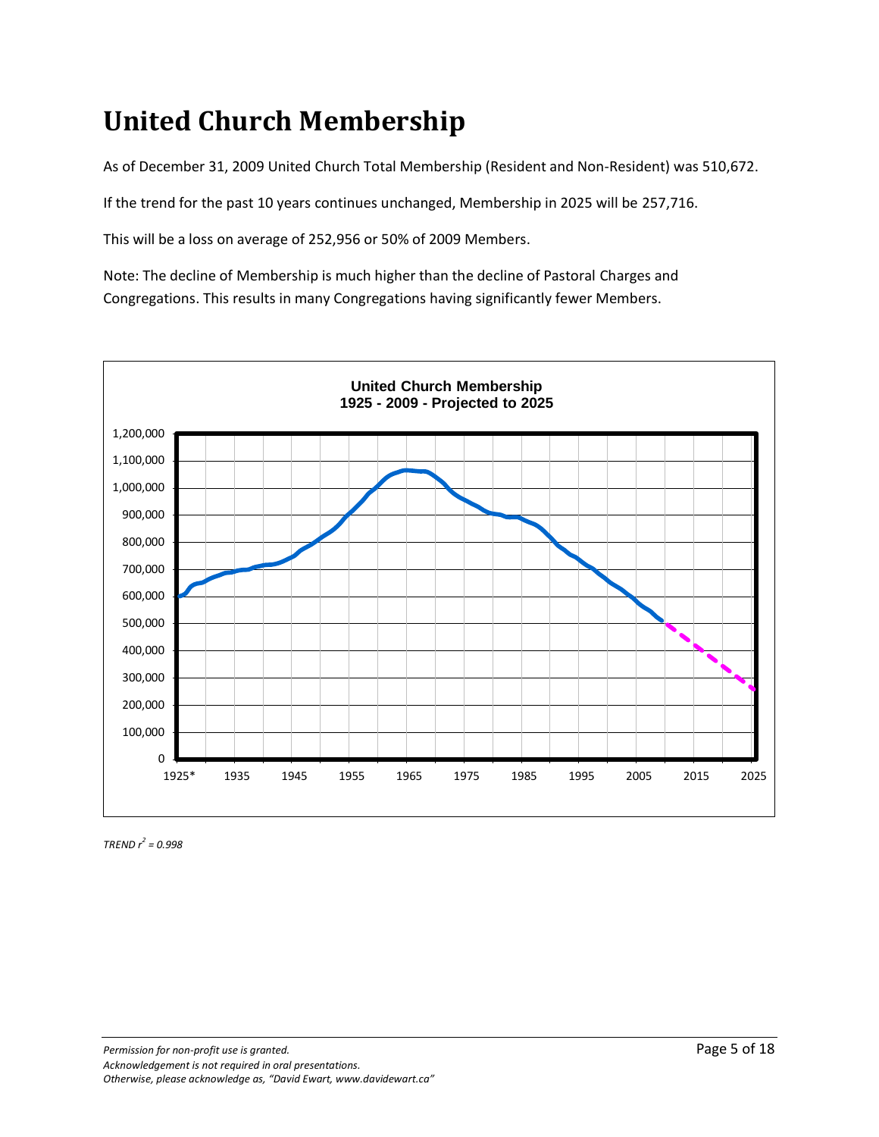## **United Church Membership**

As of December 31, 2009 United Church Total Membership (Resident and Non-Resident) was 510,672.

If the trend for the past 10 years continues unchanged, Membership in 2025 will be 257,716.

This will be a loss on average of 252,956 or 50% of 2009 Members.

Note: The decline of Membership is much higher than the decline of Pastoral Charges and Congregations. This results in many Congregations having significantly fewer Members.

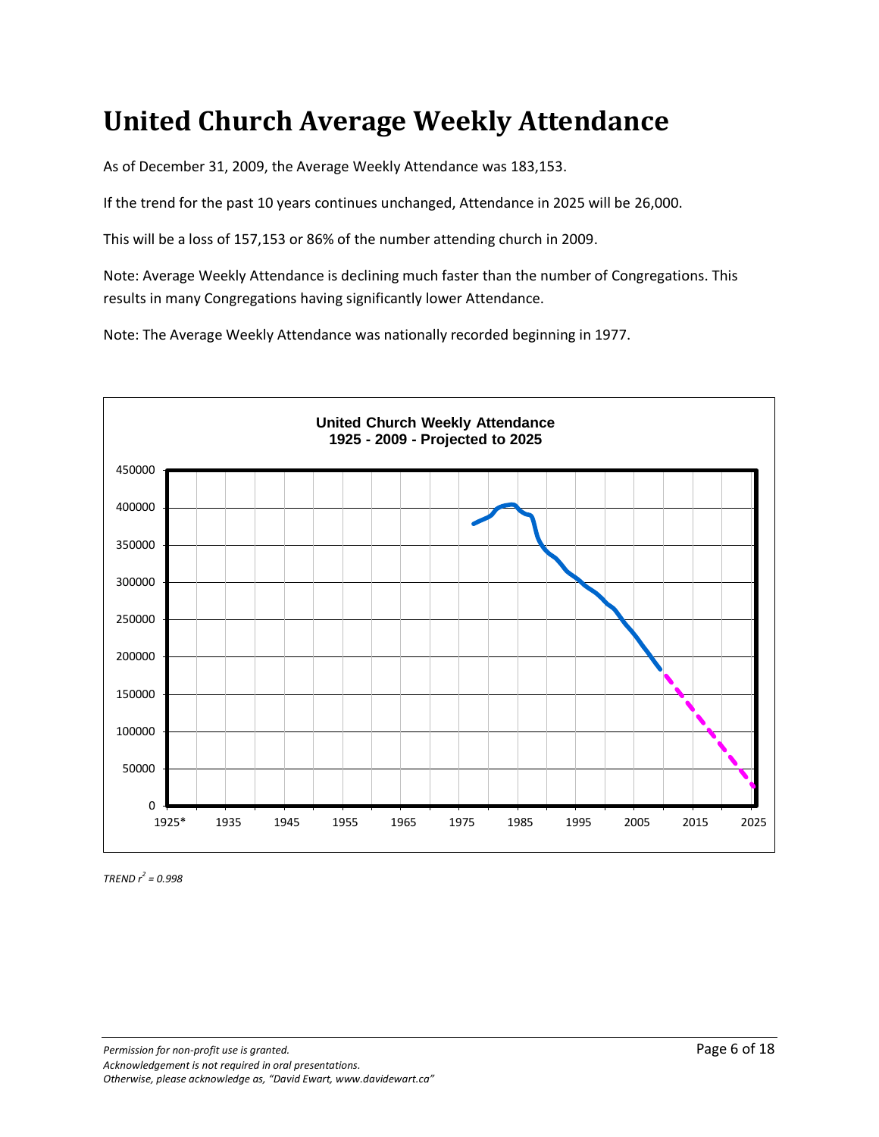#### **United Church Average Weekly Attendance**

As of December 31, 2009, the Average Weekly Attendance was 183,153.

If the trend for the past 10 years continues unchanged, Attendance in 2025 will be 26,000.

This will be a loss of 157,153 or 86% of the number attending church in 2009.

Note: Average Weekly Attendance is declining much faster than the number of Congregations. This results in many Congregations having significantly lower Attendance.

Note: The Average Weekly Attendance was nationally recorded beginning in 1977.



*TREND r<sup>2</sup> = 0.998*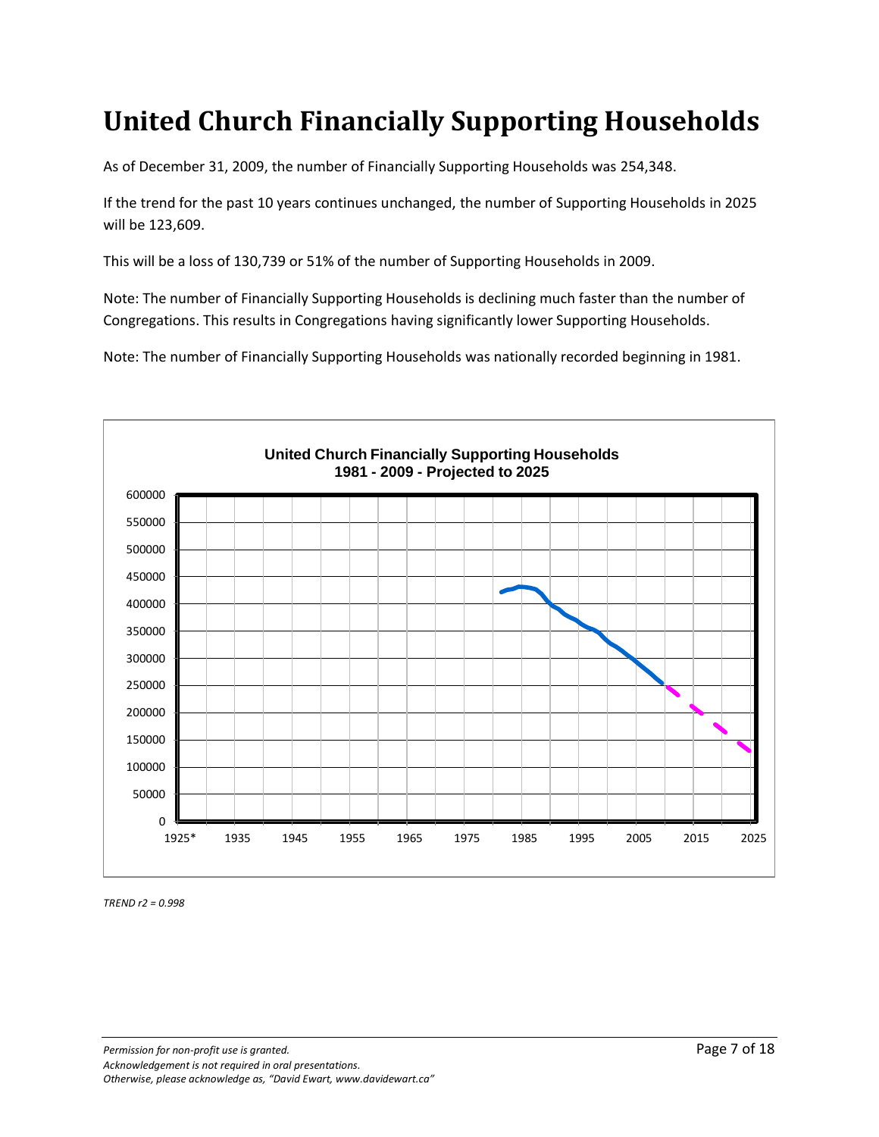### **United Church Financially Supporting Households**

As of December 31, 2009, the number of Financially Supporting Households was 254,348.

If the trend for the past 10 years continues unchanged, the number of Supporting Households in 2025 will be 123,609.

This will be a loss of 130,739 or 51% of the number of Supporting Households in 2009.

Note: The number of Financially Supporting Households is declining much faster than the number of Congregations. This results in Congregations having significantly lower Supporting Households.

Note: The number of Financially Supporting Households was nationally recorded beginning in 1981.

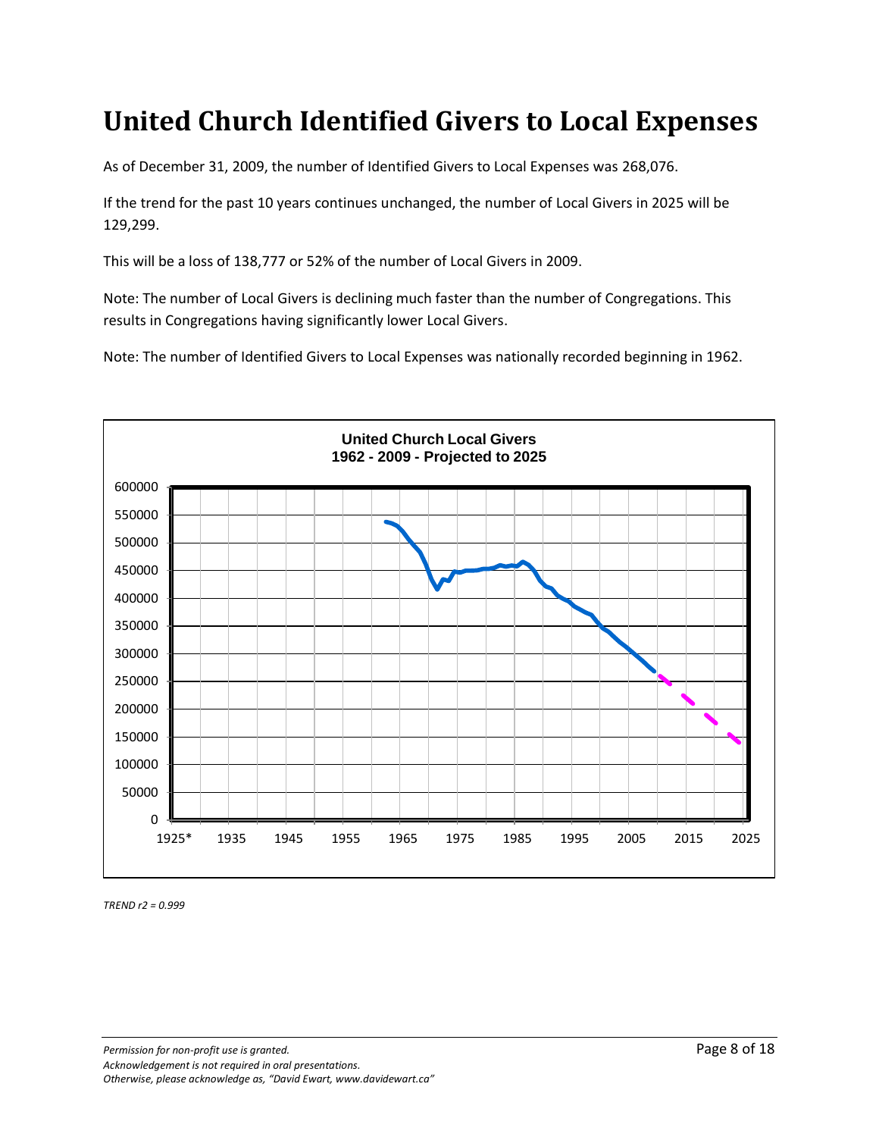#### **United Church Identified Givers to Local Expenses**

As of December 31, 2009, the number of Identified Givers to Local Expenses was 268,076.

If the trend for the past 10 years continues unchanged, the number of Local Givers in 2025 will be 129,299.

This will be a loss of 138,777 or 52% of the number of Local Givers in 2009.

Note: The number of Local Givers is declining much faster than the number of Congregations. This results in Congregations having significantly lower Local Givers.

Note: The number of Identified Givers to Local Expenses was nationally recorded beginning in 1962.



*TREND r2 = 0.999*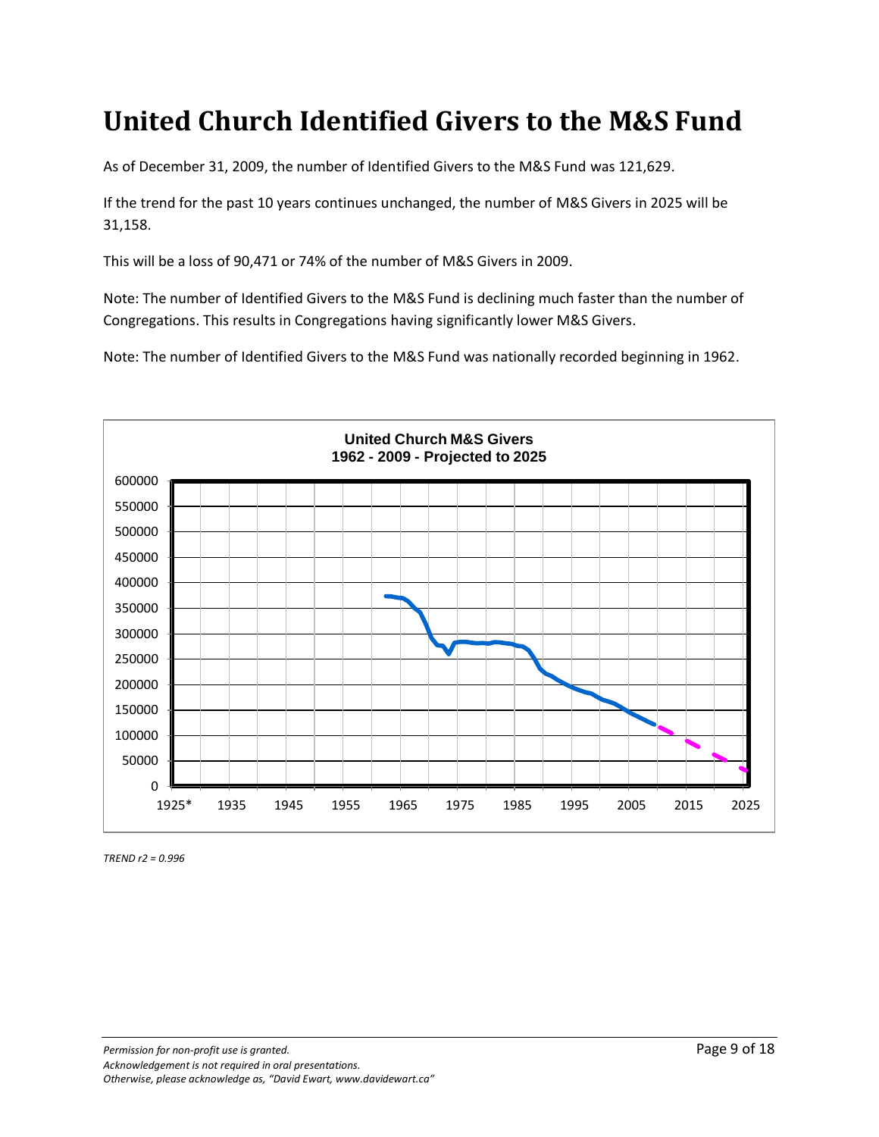#### **United Church Identified Givers to the M&S Fund**

As of December 31, 2009, the number of Identified Givers to the M&S Fund was 121,629.

If the trend for the past 10 years continues unchanged, the number of M&S Givers in 2025 will be 31,158.

This will be a loss of 90,471 or 74% of the number of M&S Givers in 2009.

Note: The number of Identified Givers to the M&S Fund is declining much faster than the number of Congregations. This results in Congregations having significantly lower M&S Givers.

Note: The number of Identified Givers to the M&S Fund was nationally recorded beginning in 1962.

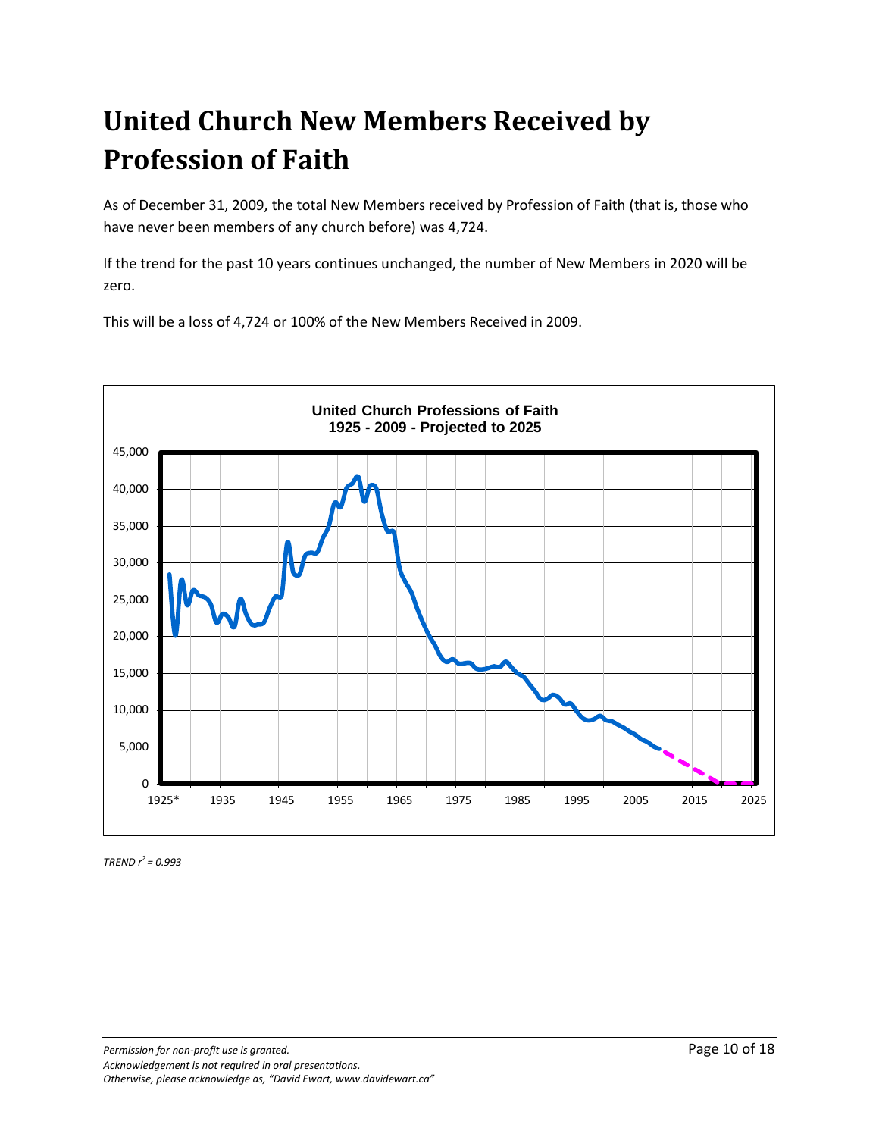# **United Church New Members Received by Profession of Faith**

As of December 31, 2009, the total New Members received by Profession of Faith (that is, those who have never been members of any church before) was 4,724.

If the trend for the past 10 years continues unchanged, the number of New Members in 2020 will be zero.

This will be a loss of 4,724 or 100% of the New Members Received in 2009.

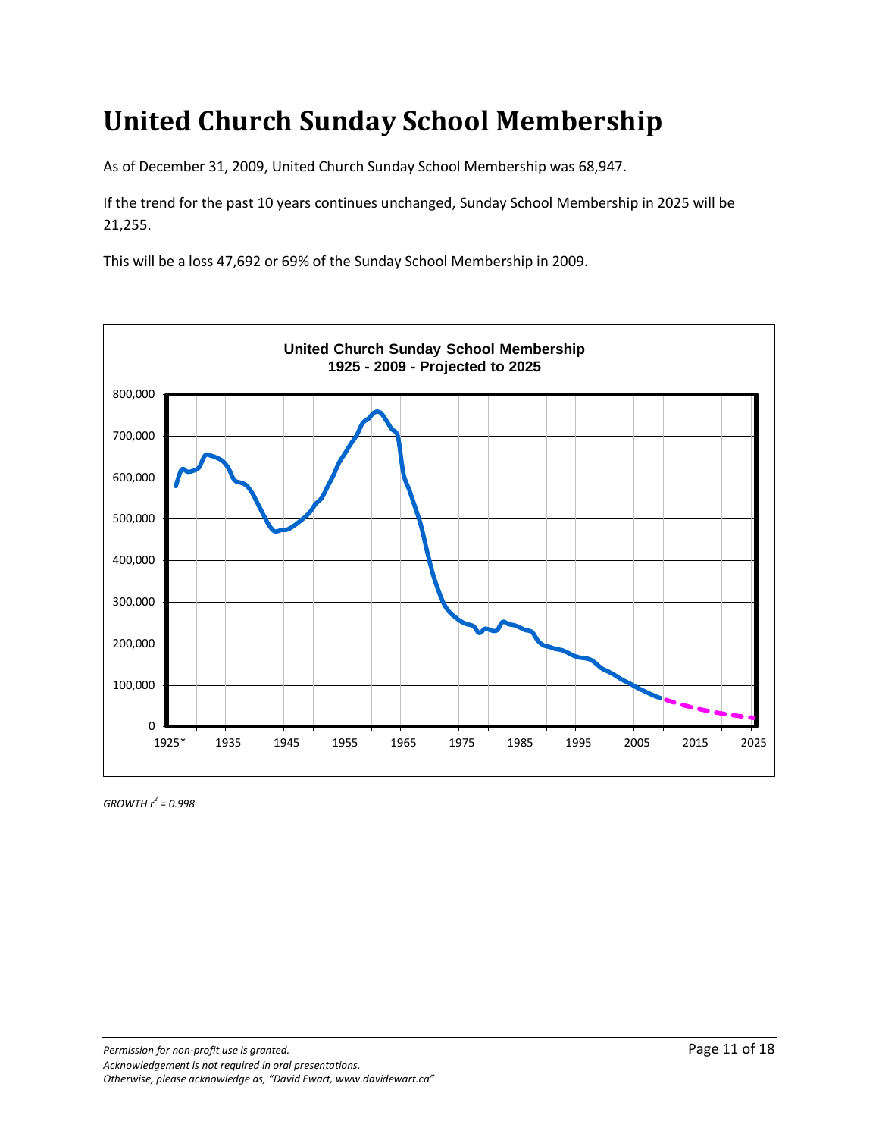### **United Church Sunday School Membership**

As of December 31, 2009, United Church Sunday School Membership was 68,947.

If the trend for the past 10 years continues unchanged, Sunday School Membership in 2025 will be 21,255.

This will be a loss 47,692 or 69% of the Sunday School Membership in 2009.

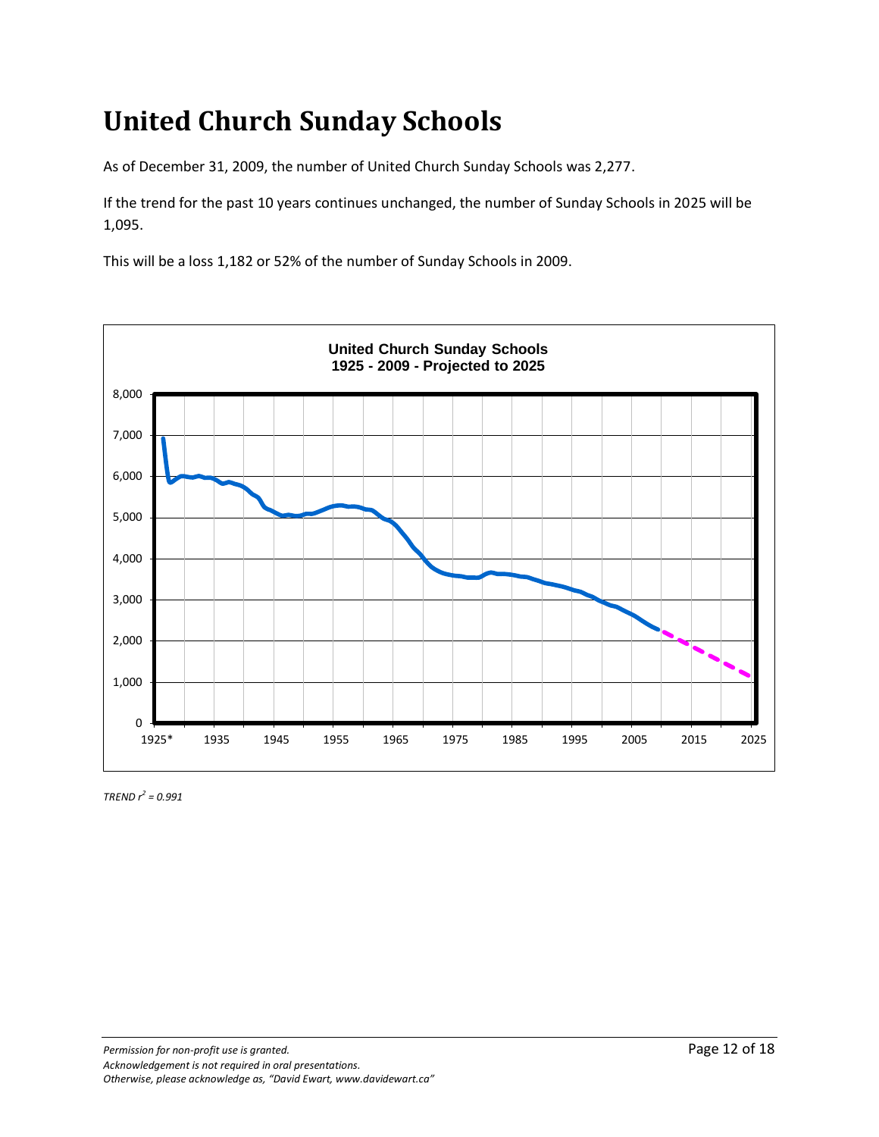# **United Church Sunday Schools**

As of December 31, 2009, the number of United Church Sunday Schools was 2,277.

If the trend for the past 10 years continues unchanged, the number of Sunday Schools in 2025 will be 1,095.

This will be a loss 1,182 or 52% of the number of Sunday Schools in 2009.

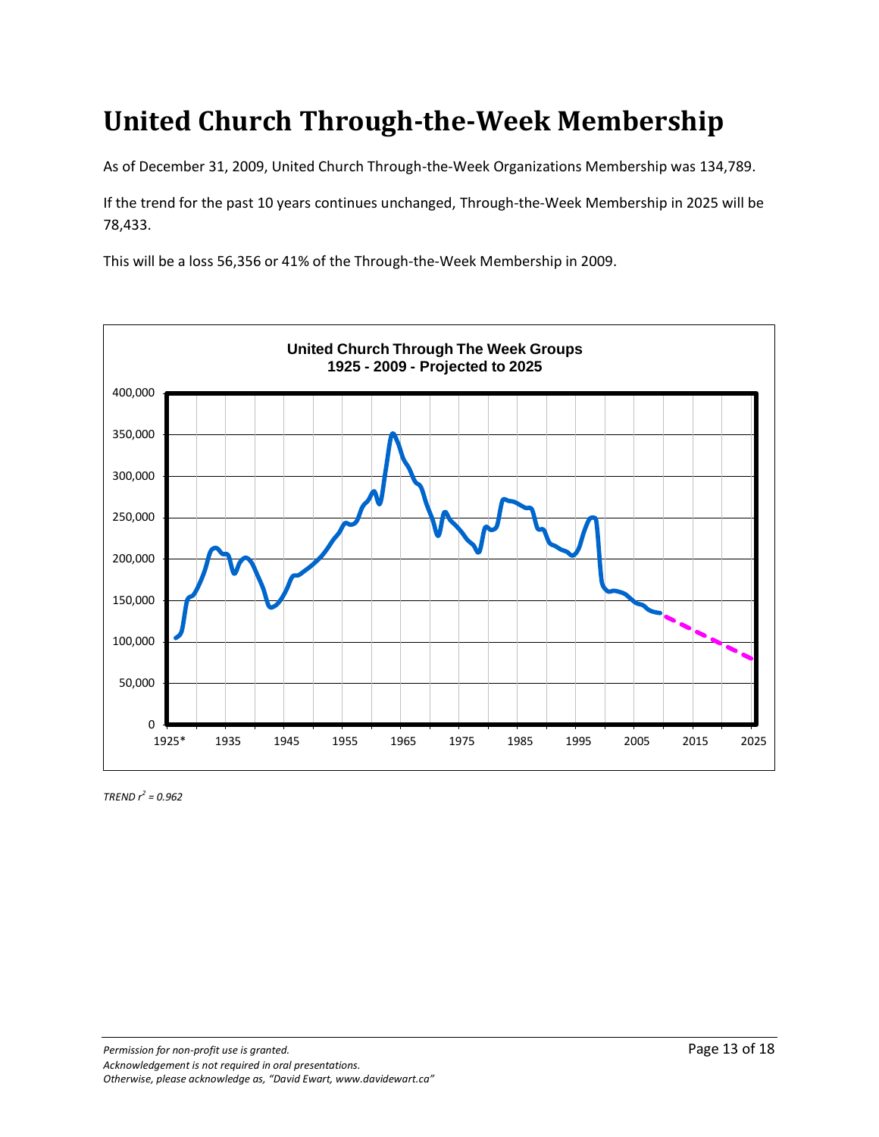#### **United Church Through-the-Week Membership**

As of December 31, 2009, United Church Through-the-Week Organizations Membership was 134,789.

If the trend for the past 10 years continues unchanged, Through-the-Week Membership in 2025 will be 78,433.

This will be a loss 56,356 or 41% of the Through-the-Week Membership in 2009.

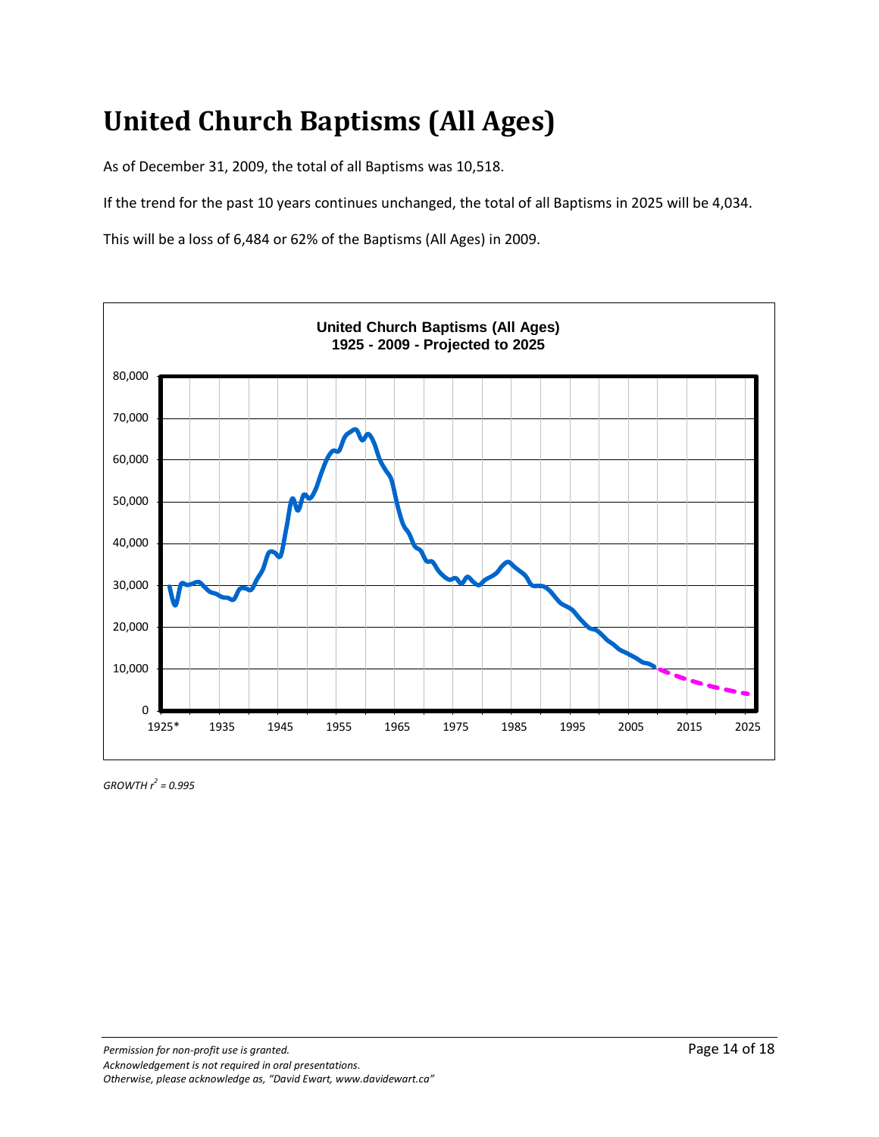# **United Church Baptisms (All Ages)**

As of December 31, 2009, the total of all Baptisms was 10,518.

If the trend for the past 10 years continues unchanged, the total of all Baptisms in 2025 will be 4,034.

This will be a loss of 6,484 or 62% of the Baptisms (All Ages) in 2009.

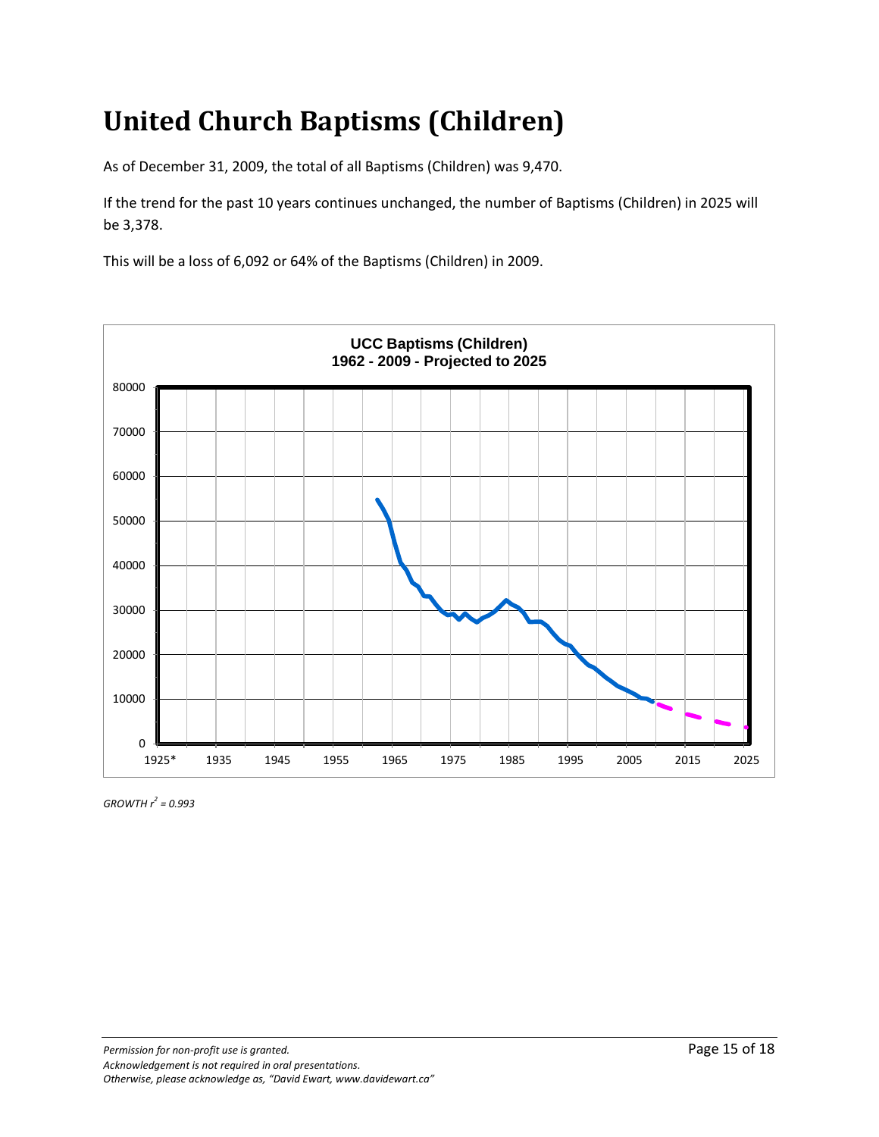# **United Church Baptisms (Children)**

As of December 31, 2009, the total of all Baptisms (Children) was 9,470.

If the trend for the past 10 years continues unchanged, the number of Baptisms (Children) in 2025 will be 3,378.

This will be a loss of 6,092 or 64% of the Baptisms (Children) in 2009.



*GROWTH r<sup>2</sup> = 0.993*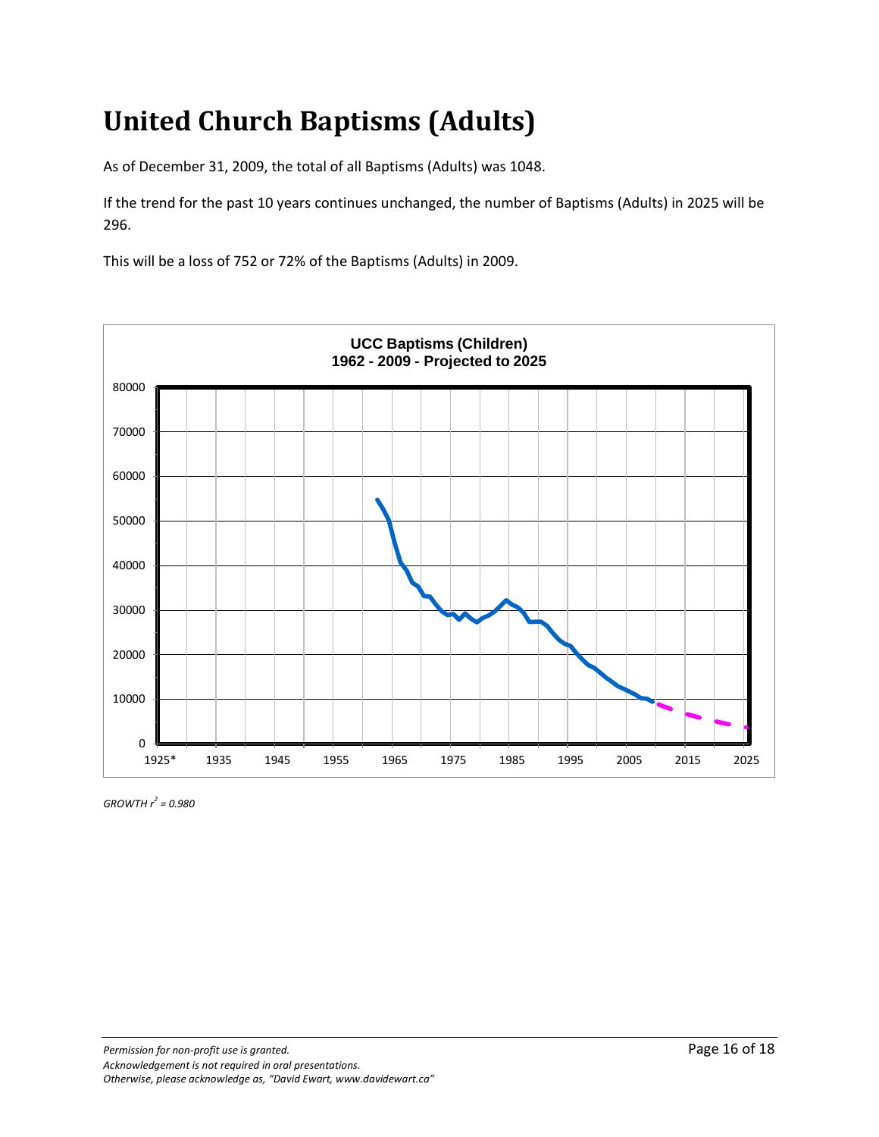# **United Church Baptisms (Adults)**

As of December 31, 2009, the total of all Baptisms (Adults) was 1048.

If the trend for the past 10 years continues unchanged, the number of Baptisms (Adults) in 2025 will be 296.

This will be a loss of 752 or 72% of the Baptisms (Adults) in 2009.



*GROWTH r<sup>2</sup> = 0.980*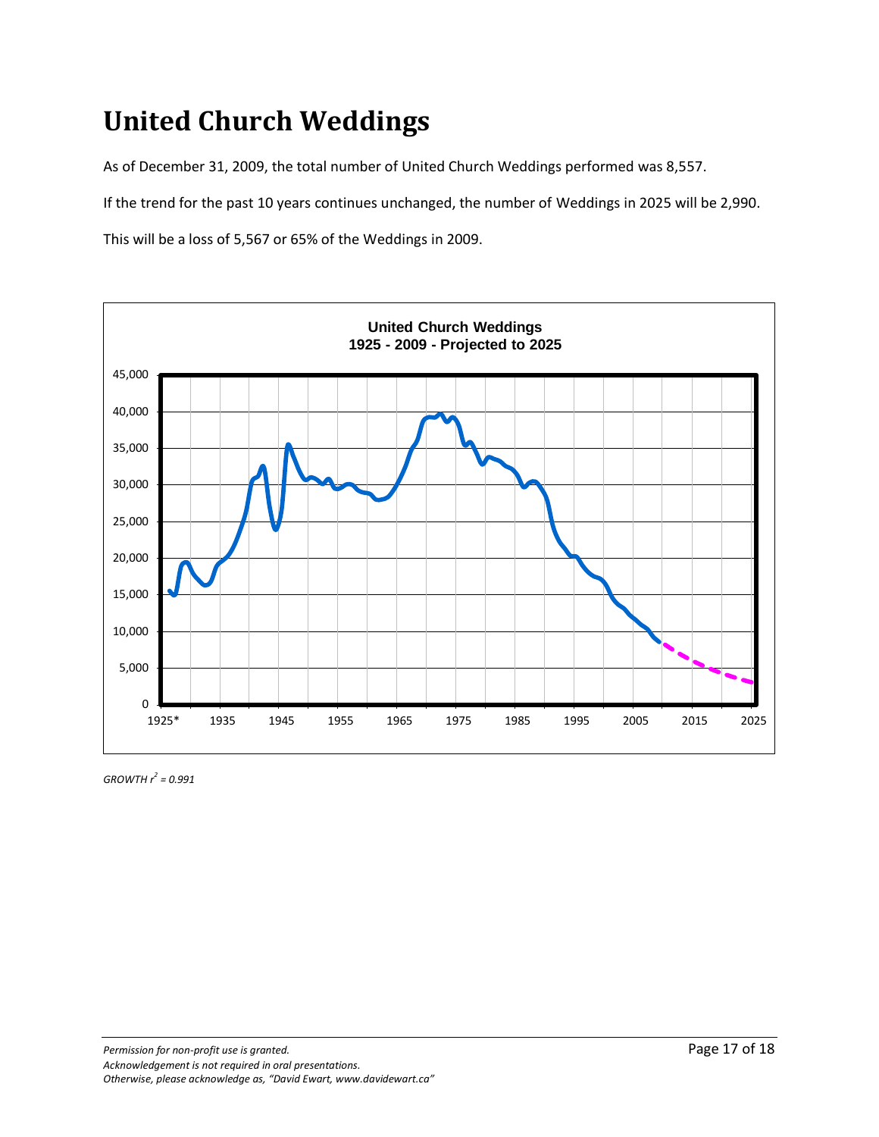### **United Church Weddings**

As of December 31, 2009, the total number of United Church Weddings performed was 8,557.

If the trend for the past 10 years continues unchanged, the number of Weddings in 2025 will be 2,990.

This will be a loss of 5,567 or 65% of the Weddings in 2009.